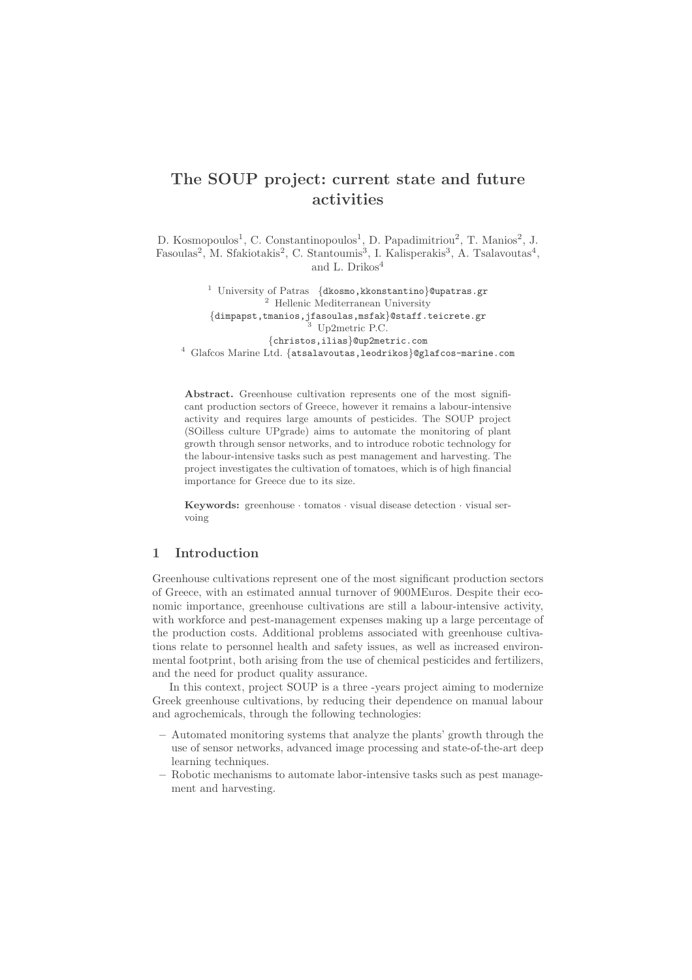# The SOUP project: current state and future activities

D. Kosmopoulos<sup>1</sup>, C. Constantinopoulos<sup>1</sup>, D. Papadimitriou<sup>2</sup>, T. Manios<sup>2</sup>, J. Fasoulas<sup>2</sup>, M. Sfakiotakis<sup>2</sup>, C. Stantoumis<sup>3</sup>, I. Kalisperakis<sup>3</sup>, A. Tsalavoutas<sup>4</sup>, and L.  $\rm{Drikos^4}$ 

<sup>1</sup> University of Patras {dkosmo, kkonstantino}@upatras.gr <sup>2</sup> Hellenic Mediterranean University {dimpapst,tmanios,jfasoulas,msfak}@staff.teicrete.gr Up2metric P.C. {christos,ilias}@up2metric.com <sup>4</sup> Glafcos Marine Ltd. {atsalavoutas,leodrikos}@glafcos-marine.com

Abstract. Greenhouse cultivation represents one of the most significant production sectors of Greece, however it remains a labour-intensive activity and requires large amounts of pesticides. The SOUP project (SOilless culture UPgrade) aims to automate the monitoring of plant growth through sensor networks, and to introduce robotic technology for the labour-intensive tasks such as pest management and harvesting. The project investigates the cultivation of tomatoes, which is of high financial importance for Greece due to its size.

Keywords: greenhouse  $\cdot$  tomatos  $\cdot$  visual disease detection  $\cdot$  visual servoing

## 1 Introduction

Greenhouse cultivations represent one of the most significant production sectors of Greece, with an estimated annual turnover of 900MEuros. Despite their economic importance, greenhouse cultivations are still a labour-intensive activity, with workforce and pest-management expenses making up a large percentage of the production costs. Additional problems associated with greenhouse cultivations relate to personnel health and safety issues, as well as increased environmental footprint, both arising from the use of chemical pesticides and fertilizers, and the need for product quality assurance.

In this context, project SOUP is a three -years project aiming to modernize Greek greenhouse cultivations, by reducing their dependence on manual labour and agrochemicals, through the following technologies:

- Automated monitoring systems that analyze the plants' growth through the use of sensor networks, advanced image processing and state-of-the-art deep learning techniques.
- Robotic mechanisms to automate labor-intensive tasks such as pest management and harvesting.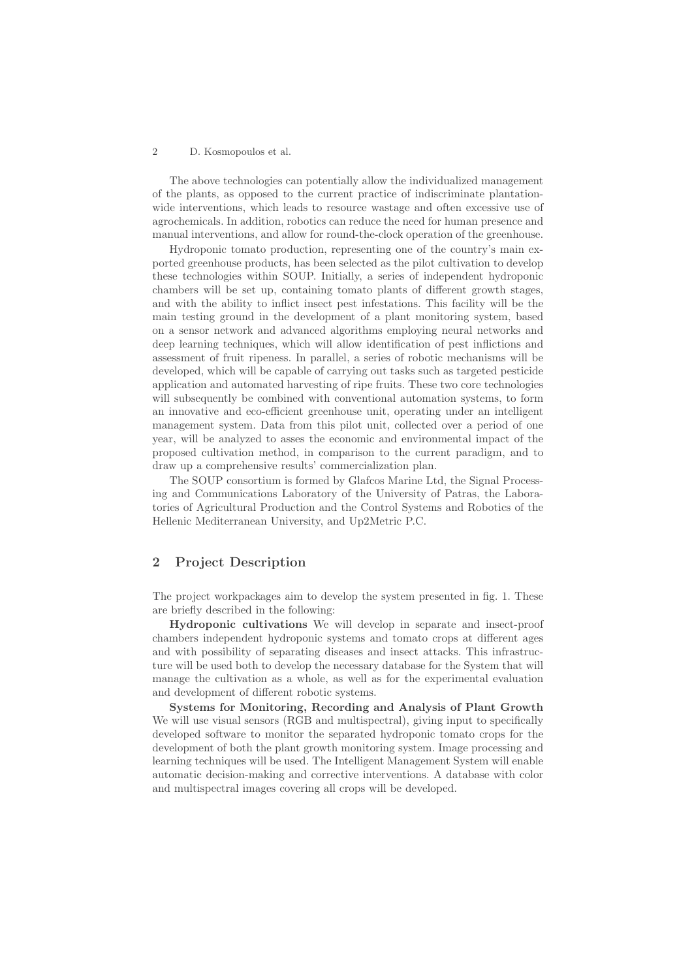#### 2 D. Kosmopoulos et al.

The above technologies can potentially allow the individualized management of the plants, as opposed to the current practice of indiscriminate plantationwide interventions, which leads to resource wastage and often excessive use of agrochemicals. In addition, robotics can reduce the need for human presence and manual interventions, and allow for round-the-clock operation of the greenhouse.

Hydroponic tomato production, representing one of the country's main exported greenhouse products, has been selected as the pilot cultivation to develop these technologies within SOUP. Initially, a series of independent hydroponic chambers will be set up, containing tomato plants of different growth stages, and with the ability to inflict insect pest infestations. This facility will be the main testing ground in the development of a plant monitoring system, based on a sensor network and advanced algorithms employing neural networks and deep learning techniques, which will allow identification of pest inflictions and assessment of fruit ripeness. In parallel, a series of robotic mechanisms will be developed, which will be capable of carrying out tasks such as targeted pesticide application and automated harvesting of ripe fruits. These two core technologies will subsequently be combined with conventional automation systems, to form an innovative and eco-efficient greenhouse unit, operating under an intelligent management system. Data from this pilot unit, collected over a period of one year, will be analyzed to asses the economic and environmental impact of the proposed cultivation method, in comparison to the current paradigm, and to draw up a comprehensive results' commercialization plan.

The SOUP consortium is formed by Glafcos Marine Ltd, the Signal Processing and Communications Laboratory of the University of Patras, the Laboratories of Agricultural Production and the Control Systems and Robotics of the Hellenic Mediterranean University, and Up2Metric P.C.

## 2 Project Description

The project workpackages aim to develop the system presented in fig. 1. These are briefly described in the following:

Hydroponic cultivations We will develop in separate and insect-proof chambers independent hydroponic systems and tomato crops at different ages and with possibility of separating diseases and insect attacks. This infrastructure will be used both to develop the necessary database for the System that will manage the cultivation as a whole, as well as for the experimental evaluation and development of different robotic systems.

Systems for Monitoring, Recording and Analysis of Plant Growth We will use visual sensors (RGB and multispectral), giving input to specifically developed software to monitor the separated hydroponic tomato crops for the development of both the plant growth monitoring system. Image processing and learning techniques will be used. The Intelligent Management System will enable automatic decision-making and corrective interventions. A database with color and multispectral images covering all crops will be developed.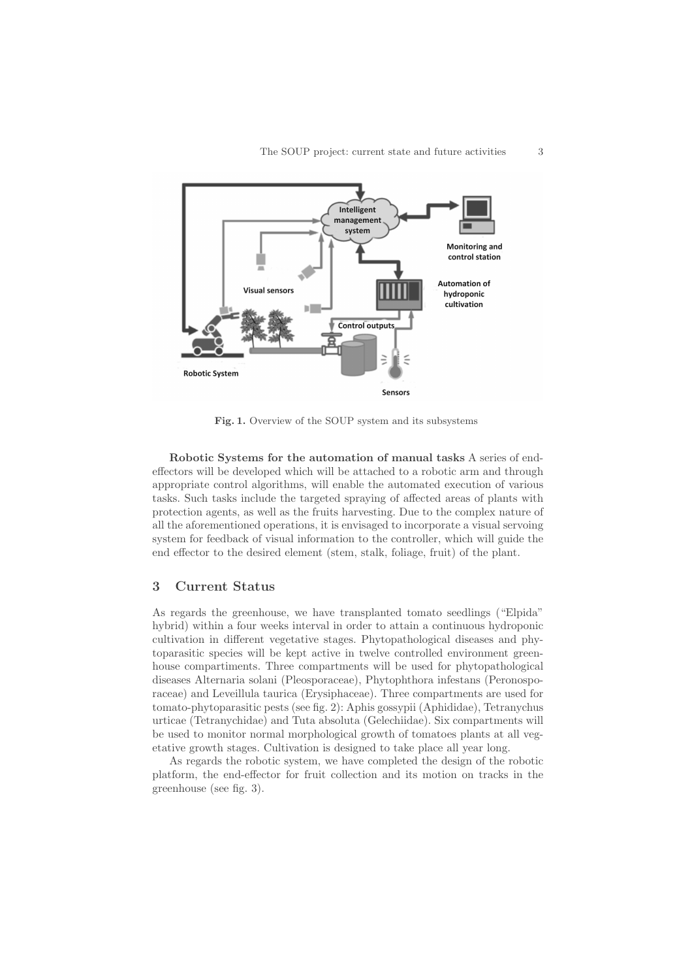

Fig. 1. Overview of the SOUP system and its subsystems

Robotic Systems for the automation of manual tasks A series of endeffectors will be developed which will be attached to a robotic arm and through appropriate control algorithms, will enable the automated execution of various tasks. Such tasks include the targeted spraying of affected areas of plants with protection agents, as well as the fruits harvesting. Due to the complex nature of all the aforementioned operations, it is envisaged to incorporate a visual servoing system for feedback of visual information to the controller, which will guide the end effector to the desired element (stem, stalk, foliage, fruit) of the plant.

## 3 Current Status

As regards the greenhouse, we have transplanted tomato seedlings ("Elpida" hybrid) within a four weeks interval in order to attain a continuous hydroponic cultivation in different vegetative stages. Phytopathological diseases and phytoparasitic species will be kept active in twelve controlled environment greenhouse compartiments. Three compartments will be used for phytopathological diseases Alternaria solani (Pleosporaceae), Phytophthora infestans (Peronosporaceae) and Leveillula taurica (Erysiphaceae). Three compartments are used for tomato-phytoparasitic pests (see fig. 2): Aphis gossypii (Aphididae), Tetranychus urticae (Tetranychidae) and Tuta absoluta (Gelechiidae). Six compartments will be used to monitor normal morphological growth of tomatoes plants at all vegetative growth stages. Cultivation is designed to take place all year long.

As regards the robotic system, we have completed the design of the robotic platform, the end-effector for fruit collection and its motion on tracks in the greenhouse (see fig. 3).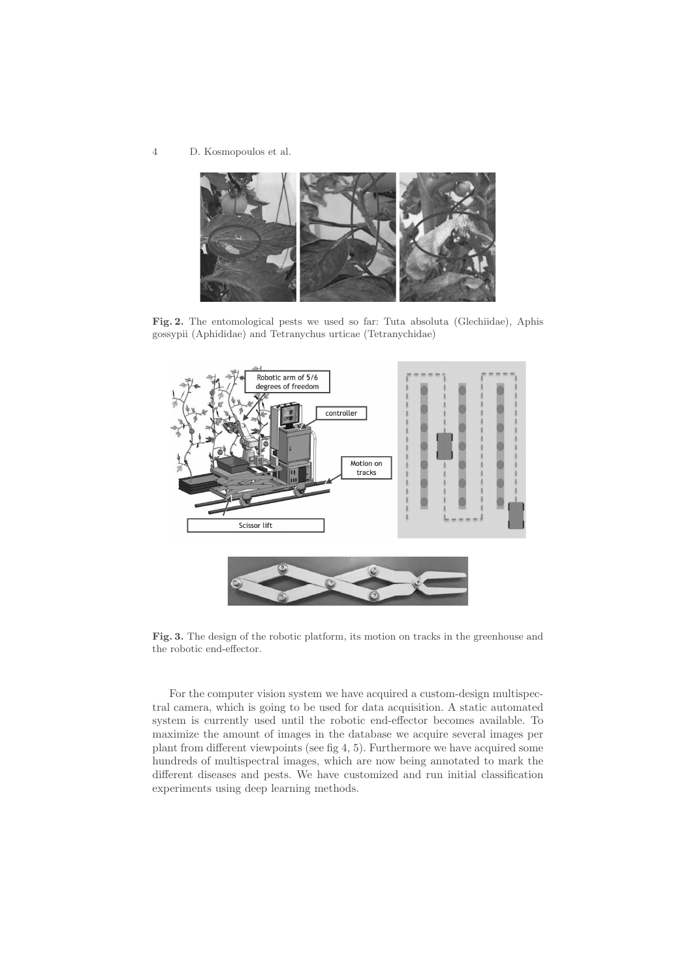4 D. Kosmopoulos et al.



Fig. 2. The entomological pests we used so far: Tuta absoluta (Glechiidae), Aphis gossypii (Aphididae) and Tetranychus urticae (Tetranychidae)



Fig. 3. The design of the robotic platform, its motion on tracks in the greenhouse and the robotic end-effector.

For the computer vision system we have acquired a custom-design multispectral camera, which is going to be used for data acquisition. A static automated system is currently used until the robotic end-effector becomes available. To maximize the amount of images in the database we acquire several images per plant from different viewpoints (see fig 4, 5). Furthermore we have acquired some hundreds of multispectral images, which are now being annotated to mark the different diseases and pests. We have customized and run initial classification experiments using deep learning methods.